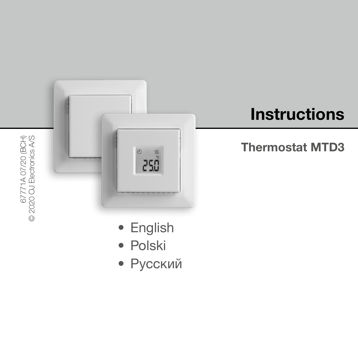

# **Instructions**

# Thermostat MTD3

- English
- Polski
- Русский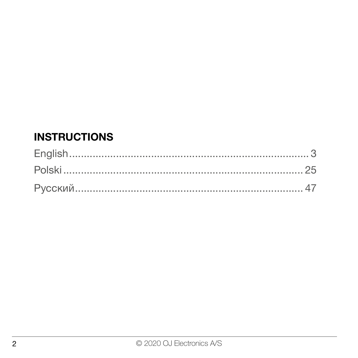# **INSTRUCTIONS**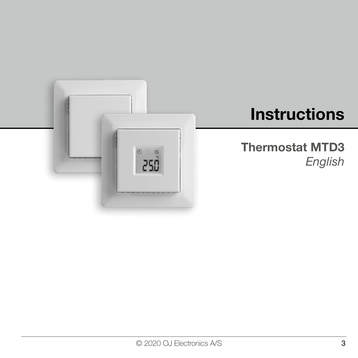

# **Instructions**

# Thermostat MTD3 English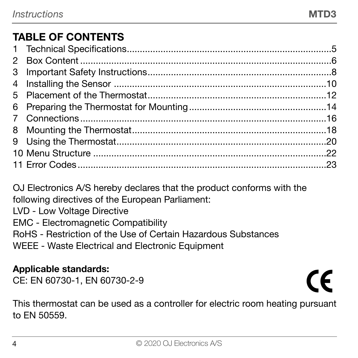CE

#### TABLE OF CONTENTS

OJ Electronics A/S hereby declares that the product conforms with the following directives of the European Parliament:

- LVD Low Voltage Directive
- EMC Electromagnetic Compatibility
- RoHS Restriction of the Use of Certain Hazardous Substances
- WEEE Waste Electrical and Electronic Equipment

#### Applicable standards:

CE: EN 60730-1, EN 60730-2-9

This thermostat can be used as a controller for electric room heating pursuant to EN 50559.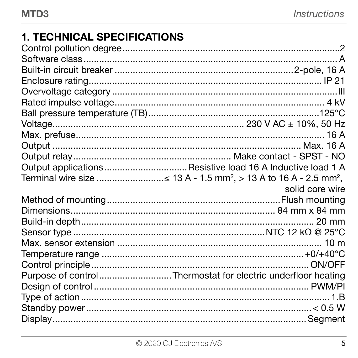# **1. TECHNICAL SPECIFICATIONS**

| Output applicationsResistive load 16 A Inductive load 1 A                                |
|------------------------------------------------------------------------------------------|
| Terminal wire size ≤ 13 A - 1.5 mm <sup>2</sup> , > 13 A to 16 A - 2.5 mm <sup>2</sup> , |
| solid core wire                                                                          |
|                                                                                          |
|                                                                                          |
|                                                                                          |
|                                                                                          |
|                                                                                          |
|                                                                                          |
|                                                                                          |
| Purpose of controlThermostat for electric underfloor heating                             |
|                                                                                          |
|                                                                                          |
|                                                                                          |
|                                                                                          |
|                                                                                          |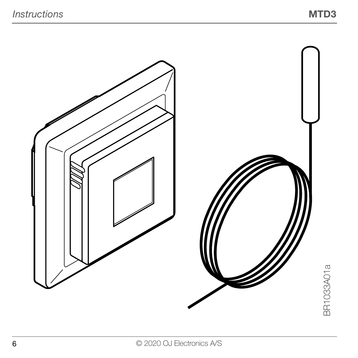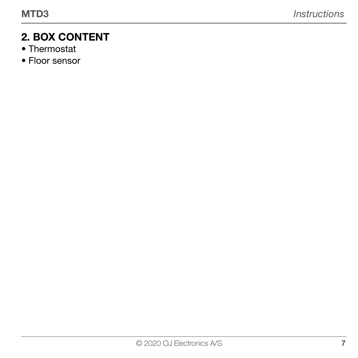# 2. BOX CONTENT

- Thermostat
- Floor sensor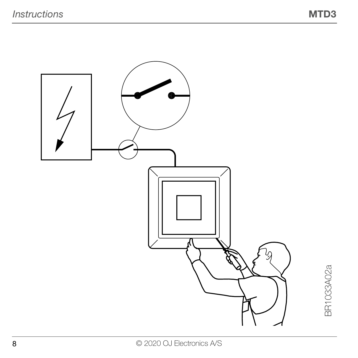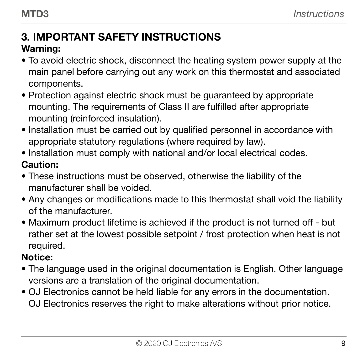# 3. IMPORTANT SAFETY INSTRUCTIONS

#### Warning:

- To avoid electric shock, disconnect the heating system power supply at the main panel before carrying out any work on this thermostat and associated components.
- Protection against electric shock must be guaranteed by appropriate mounting. The requirements of Class II are fulfilled after appropriate mounting (reinforced insulation).
- Installation must be carried out by qualified personnel in accordance with appropriate statutory regulations (where required by law).
- Installation must comply with national and/or local electrical codes. Caution:
- These instructions must be observed, otherwise the liability of the manufacturer shall be voided.
- Any changes or modifications made to this thermostat shall void the liability of the manufacturer.
- Maximum product lifetime is achieved if the product is not turned off but rather set at the lowest possible setpoint / frost protection when heat is not required.

#### Notice:

- The language used in the original documentation is English. Other language versions are a translation of the original documentation.
- OJ Electronics cannot be held liable for any errors in the documentation. OJ Electronics reserves the right to make alterations without prior notice.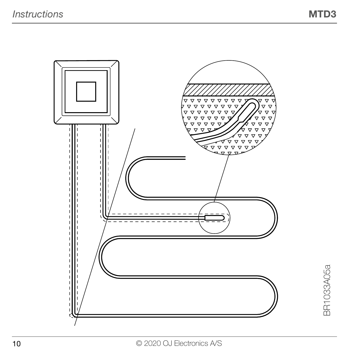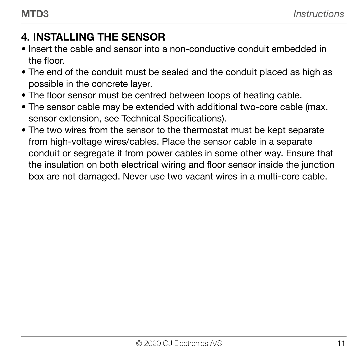# 4. INSTALLING THE SENSOR

- Insert the cable and sensor into a non-conductive conduit embedded in the floor.
- The end of the conduit must be sealed and the conduit placed as high as possible in the concrete layer.
- The floor sensor must be centred between loops of heating cable.
- The sensor cable may be extended with additional two-core cable (max. sensor extension, see Technical Specifications).
- The two wires from the sensor to the thermostat must be kept separate from high-voltage wires/cables. Place the sensor cable in a separate conduit or segregate it from power cables in some other way. Ensure that the insulation on both electrical wiring and floor sensor inside the junction box are not damaged. Never use two vacant wires in a multi-core cable.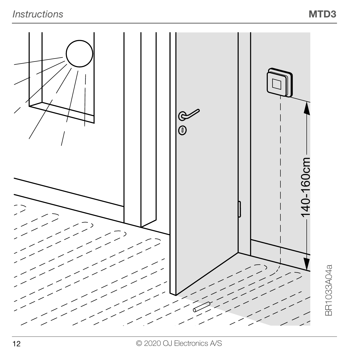#### Instructions **MTD3**

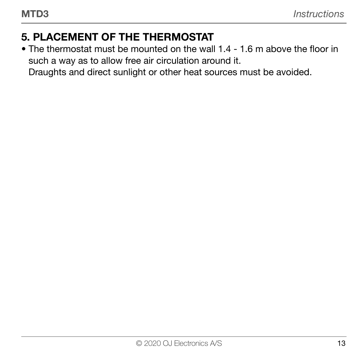# 5. PLACEMENT OF THE THERMOSTAT

 $\bullet$  The thermostat must be mounted on the wall 1.4 - 1.6 m above the floor in such a way as to allow free air circulation around it.

Draughts and direct sunlight or other heat sources must be avoided.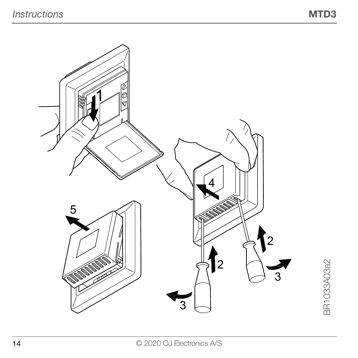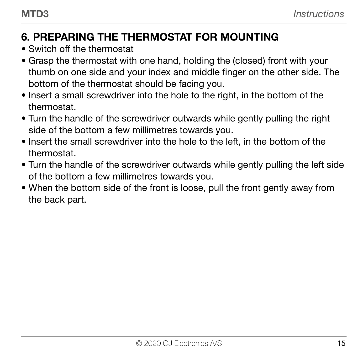# 6. PREPARING THE THERMOSTAT FOR MOUNTING

- Switch off the thermostat
- Grasp the thermostat with one hand, holding the (closed) front with your thumb on one side and your index and middle finger on the other side. The bottom of the thermostat should be facing you.
- Insert a small screwdriver into the hole to the right, in the bottom of the thermostat.
- Turn the handle of the screwdriver outwards while gently pulling the right side of the bottom a few millimetres towards you.
- Insert the small screwdriver into the hole to the left, in the bottom of the thermostat.
- Turn the handle of the screwdriver outwards while gently pulling the left side of the bottom a few millimetres towards you.
- When the bottom side of the front is loose, pull the front gently away from the back part.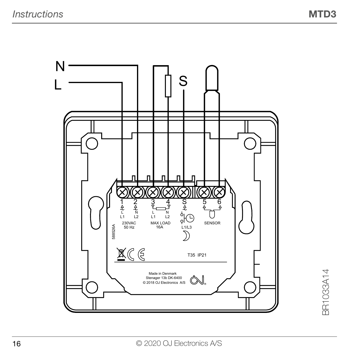

BR1033A14<br>BR1033A14 BR1033A14

--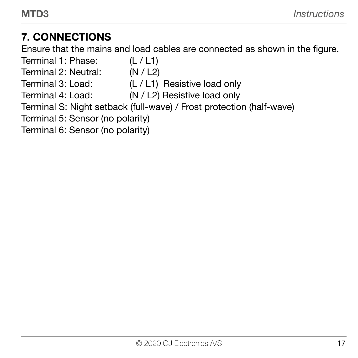### 7. CONNECTIONS

Ensure that the mains and load cables are connected as shown in the figure.<br>Terminal 1: Phase:  $(L/L1)$ 

- Terminal 1: Phase: (L / L1)<br>Terminal 2: Neutral: (N / L2)
- Terminal 2: Neutral:<br>Terminal 3: Load:
- Terminal 3: Load: (L / L1) Resistive load only<br>Terminal 4: Load: (N / L2) Resistive load only
- (N / L2) Resistive load only
- Terminal S: Night setback (full-wave) / Frost protection (half-wave)
- Terminal 5: Sensor (no polarity)
- Terminal 6: Sensor (no polarity)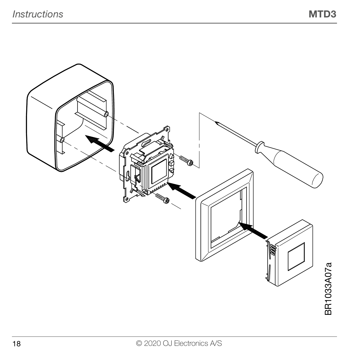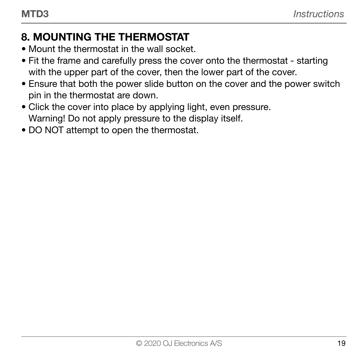# 8. MOUNTING THE THERMOSTAT

- Mount the thermostat in the wall socket.
- Fit the frame and carefully press the cover onto the thermostat starting with the upper part of the cover, then the lower part of the cover.
- Ensure that both the power slide button on the cover and the power switch pin in the thermostat are down.
- Click the cover into place by applying light, even pressure. Warning! Do not apply pressure to the display itself.
- DO NOT attempt to open the thermostat.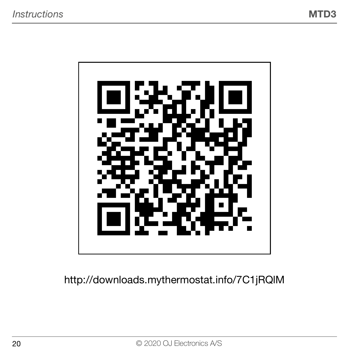

http://downloads.mythermostat.info/7C1jRQlM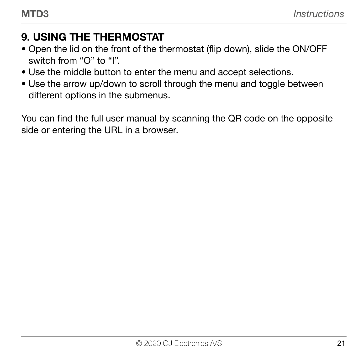# 9. USING THE THERMOSTAT

- Open the lid on the front of the thermostat (flip down), slide the ON/OFF switch from "O" to "I".
- Use the middle button to enter the menu and accept selections.
- Use the arrow up/down to scroll through the menu and toggle between different options in the submenus.

You can find the full user manual by scanning the QR code on the opposite side or entering the URL in a browser.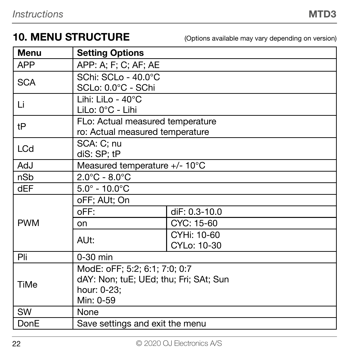# 10. MENU STRUCTURE (Options available may vary depending on version)

| Menu       | <b>Setting Options</b>                 |               |  |
|------------|----------------------------------------|---------------|--|
| APP        | APP: A; F; C; AF; AE                   |               |  |
| <b>SCA</b> | SChi: SCLo - 40.0°C                    |               |  |
|            | SCLo: 0.0°C - SChi                     |               |  |
| Li         | Lihi: LiLo - $40^{\circ}$ C            |               |  |
|            | LiLo: 0°C - Lihi                       |               |  |
| tP         | FLo: Actual measured temperature       |               |  |
|            | ro: Actual measured temperature        |               |  |
| LCd        | SCA: C; nu                             |               |  |
|            | diS: SP; tP                            |               |  |
| AdJ        | Measured temperature +/- 10°C          |               |  |
| nSb        | $2.0^{\circ}$ C - $8.0^{\circ}$ C      |               |  |
| dEF        | $5.0^\circ - 10.0^\circ C$             |               |  |
|            | oFF; AUt; On                           |               |  |
|            | oFF:                                   | diF: 0.3-10.0 |  |
| <b>PWM</b> | on                                     | CYC: 15-60    |  |
|            | AUt:                                   | CYHi: 10-60   |  |
|            |                                        | CYLo: 10-30   |  |
| Pli        | $0-30$ min                             |               |  |
|            | ModE: oFF; 5:2; 6:1; 7:0; 0:7          |               |  |
| TiMe       | dAY: Non; tuE; UEd; thu; Fri; SAt; Sun |               |  |
|            | hour: 0-23:                            |               |  |
| Min: 0-59  |                                        |               |  |
| SW         | None                                   |               |  |
| DonE       | Save settings and exit the menu        |               |  |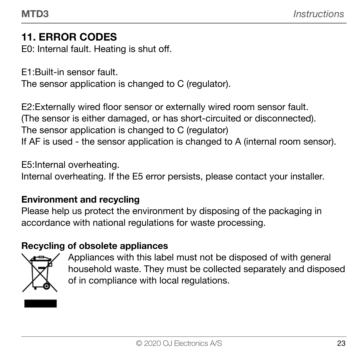#### 11. ERROR CODES

E0: Internal fault. Heating is shut off.

E1:Built-in sensor fault. The sensor application is changed to C (regulator).

E2:Externally wired floor sensor or externally wired room sensor fault. (The sensor is either damaged, or has short-circuited or disconnected). The sensor application is changed to C (regulator) If AF is used - the sensor application is changed to A (internal room sensor).

E5:Internal overheating.

Internal overheating. If the E5 error persists, please contact your installer.

#### Environment and recycling

Please help us protect the environment by disposing of the packaging in accordance with national regulations for waste processing.

#### Recycling of obsolete appliances



Appliances with this label must not be disposed of with general household waste. They must be collected separately and disposed of in compliance with local regulations.

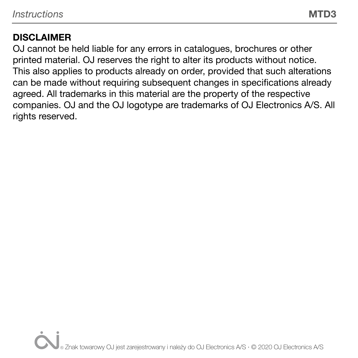#### DISCLAIMER

OJ cannot be held liable for any errors in catalogues, brochures or other printed material. OJ reserves the right to alter its products without notice. This also applies to products already on order, provided that such alterations can be made without requiring subsequent changes in specifications already agreed. All trademarks in this material are the property of the respective companies. OJ and the OJ logotype are trademarks of OJ Electronics A/S. All rights reserved.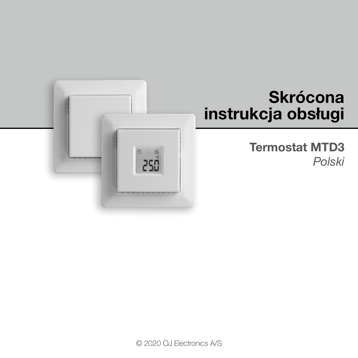

# Skrócona instrukcja obsługi

Termostat MTD3 Polski

© 2020 OJ Electronics A/S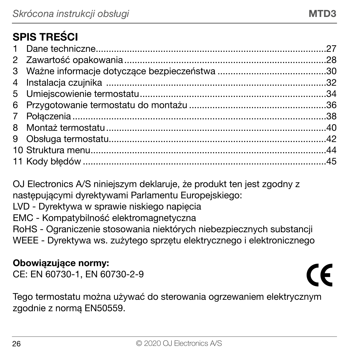# SPIS TREŚCI

OJ Electronics A/S niniejszym deklaruje, że produkt ten jest zgodny z następującymi dyrektywami Parlamentu Europejskiego: LVD - Dyrektywa w sprawie niskiego napięcia EMC - Kompatybilność elektromagnetyczna RoHS - Ograniczenie stosowania niektórych niebezpiecznych substancji

WEEE - Dyrektywa ws. zużytego sprzętu elektrycznego i elektronicznego

#### Obowiązujące normy:

CE: EN 60730-1, EN 60730-2-9

# (f

Tego termostatu można używać do sterowania ogrzewaniem elektrycznym zgodnie z normą EN50559.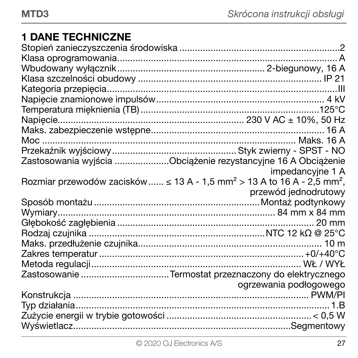# 1 DANE TECHNICZNE

| Zastosowania wyjścia Obciążenie rezystancyjne 16 A Obciążenie                                   |
|-------------------------------------------------------------------------------------------------|
| impedancyjne 1 A                                                                                |
| Rozmiar przewodów zacisków  ≤ 13 A - 1,5 mm <sup>2</sup> > 13 A to 16 A - 2,5 mm <sup>2</sup> , |
| przewód jednodrutowy                                                                            |
|                                                                                                 |
|                                                                                                 |
|                                                                                                 |
|                                                                                                 |
|                                                                                                 |
|                                                                                                 |
|                                                                                                 |
| Zastosowanie Termostat przeznaczony do elektrycznego                                            |
| ogrzewania podłogowego                                                                          |
|                                                                                                 |
|                                                                                                 |
|                                                                                                 |
|                                                                                                 |
|                                                                                                 |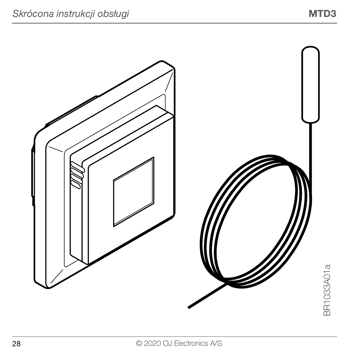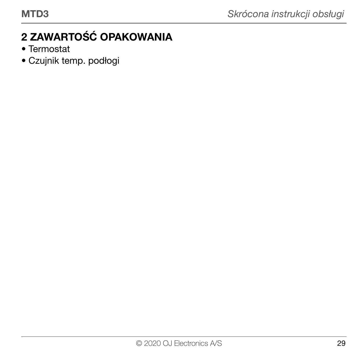# 2 ZAWARTOŚĆ OPAKOWANIA

- Termostat
- Czujnik temp. podłogi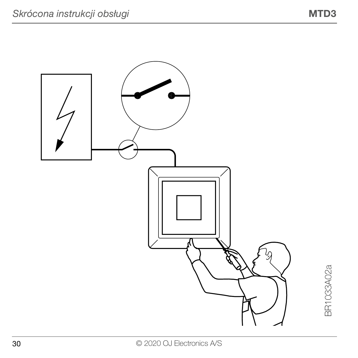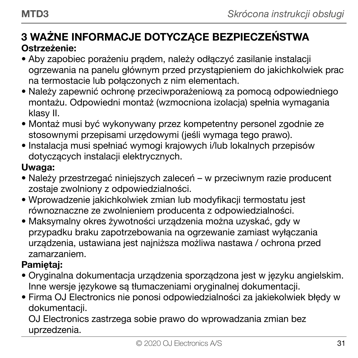#### 3 WAŻNE INFORMACJE DOTYCZĄCE BEZPIECZEŃSTWA Ostrzeżenie:

- Aby zapobiec porażeniu prądem, należy odłączyć zasilanie instalacji ogrzewania na panelu głównym przed przystąpieniem do jakichkolwiek prac na termostacie lub połączonych z nim elementach.
- Należy zapewnić ochronę przeciwporażeniową za pomocą odpowiedniego montażu. Odpowiedni montaż (wzmocniona izolacja) spełnia wymagania klasy II.
- Montaż musi być wykonywany przez kompetentny personel zgodnie ze stosownymi przepisami urzędowymi (jeśli wymaga tego prawo).
- Instalacja musi spełniać wymogi krajowych i/lub lokalnych przepisów dotyczących instalacji elektrycznych.

#### Uwaga:

- Należy przestrzegać niniejszych zaleceń w przeciwnym razie producent zostaje zwolniony z odpowiedzialności.
- Wprowadzenie jakichkolwiek zmian lub modyfikacji termostatu jest równoznaczne ze zwolnieniem producenta z odpowiedzialności.
- Maksymalny okres żywotności urządzenia można uzyskać, gdy w przypadku braku zapotrzebowania na ogrzewanie zamiast wyłączania urządzenia, ustawiana jest najniższa możliwa nastawa / ochrona przed zamarzaniem.

#### Pamiętaj:

- Oryginalna dokumentacja urządzenia sporządzona jest w języku angielskim. Inne wersje językowe są tłumaczeniami oryginalnej dokumentacji.
- Firma OJ Electronics nie ponosi odpowiedzialności za jakiekolwiek błędy w dokumentacji.

OJ Electronics zastrzega sobie prawo do wprowadzania zmian bez uprzedzenia.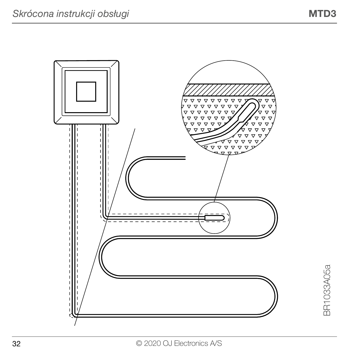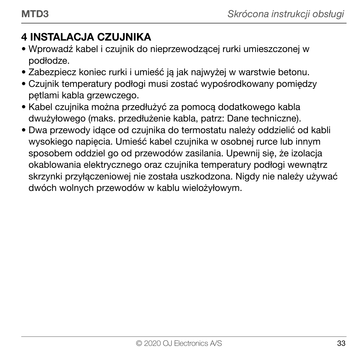# 4 INSTALACJA CZUJNIKA

- Wprowadź kabel i czujnik do nieprzewodzącej rurki umieszczonej w podłodze.
- Zabezpiecz koniec rurki i umieść ją jak najwyżej w warstwie betonu.
- Czujnik temperatury podłogi musi zostać wypośrodkowany pomiędzy pętlami kabla grzewczego.
- Kabel czujnika można przedłużyć za pomocą dodatkowego kabla dwużyłowego (maks. przedłużenie kabla, patrz: Dane techniczne).
- Dwa przewody idące od czujnika do termostatu należy oddzielić od kabli wysokiego napięcia. Umieść kabel czujnika w osobnej rurce lub innym sposobem oddziel go od przewodów zasilania. Upewnij się, że izolacja okablowania elektrycznego oraz czujnika temperatury podłogi wewnątrz skrzynki przyłączeniowej nie została uszkodzona. Nigdy nie należy używać dwóch wolnych przewodów w kablu wielożyłowym.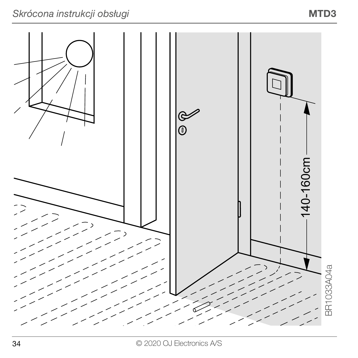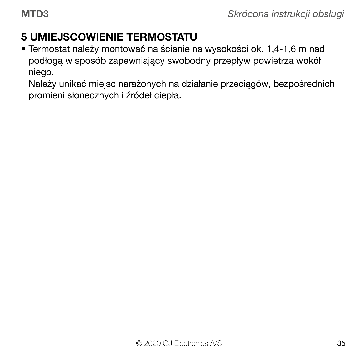# 5 UMIEJSCOWIENIE TERMOSTATU

• Termostat należy montować na ścianie na wysokości ok. 1,4-1,6 m nad podłogą w sposób zapewniający swobodny przepływ powietrza wokół niego.

Należy unikać miejsc narażonych na działanie przeciągów, bezpośrednich promieni słonecznych i źródeł ciepła.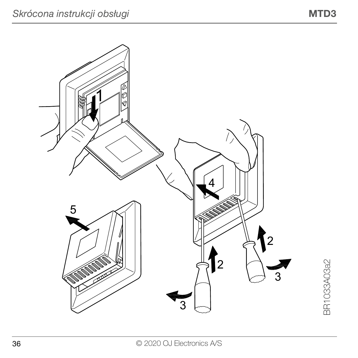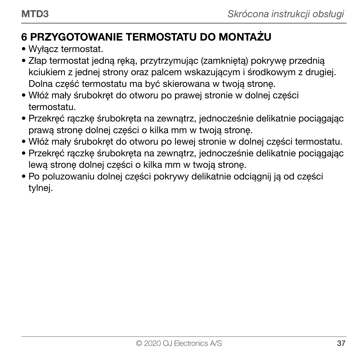# 6 PRZYGOTOWANIE TERMOSTATU DO MONTAŻU

- Wyłącz termostat.
- Złap termostat jedną ręką, przytrzymując (zamkniętą) pokrywę przednią kciukiem z jednej strony oraz palcem wskazującym i środkowym z drugiej. Dolna część termostatu ma być skierowana w twoją stronę.
- Włóż mały śrubokręt do otworu po prawej stronie w dolnej części termostatu.
- Przekręć rączkę śrubokręta na zewnątrz, jednocześnie delikatnie pociągając prawą stronę dolnej części o kilka mm w twoją stronę.
- Włóż mały śrubokręt do otworu po lewej stronie w dolnej części termostatu.
- Przekręć rączkę śrubokręta na zewnątrz, jednocześnie delikatnie pociągając lewą stronę dolnej części o kilka mm w twoją stronę.
- Po poluzowaniu dolnej części pokrywy delikatnie odciągnij ją od części tylnej.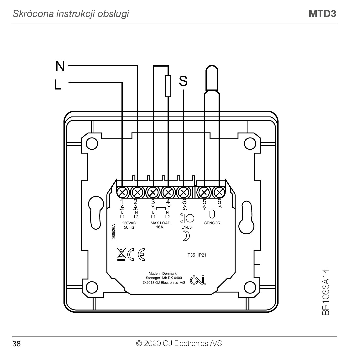

BR1033A14<br>BR1033A14 BR1033A14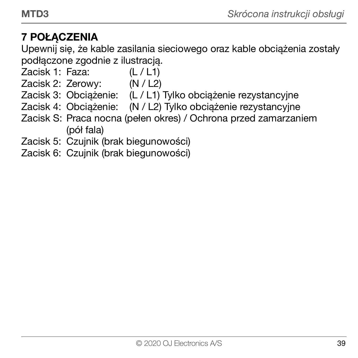#### 7 POŁĄCZENIA

Upewnij się, że kable zasilania sieciowego oraz kable obciążenia zostały podłączone zgodnie z ilustracją.<br>Zacisk 1: Faza: (L/L1)

- .<br>Zacisk 1: Faza:
- Zacisk 2: Zerowy: (N / L2)
- Zacisk 3: Obciążenie: (L / L1) Tylko obciążenie rezystancyjne
- Zacisk 4: Obciążenie: (N / L2) Tylko obciążenie rezystancyjne
- Zacisk S: Praca nocna (pełen okres) / Ochrona przed zamarzaniem (pół fala)
- Zacisk 5: Czujnik (brak biegunowości)
- Zacisk 6: Czujnik (brak biegunowości)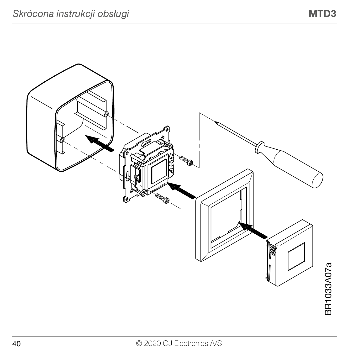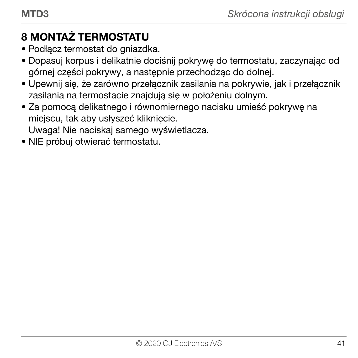# 8 MONTAŻ TERMOSTATU

- Podłącz termostat do gniazdka.
- Dopasuj korpus i delikatnie dociśnij pokrywę do termostatu, zaczynając od górnej części pokrywy, a następnie przechodząc do dolnej.
- Upewnij się, że zarówno przełącznik zasilania na pokrywie, jak i przełącznik zasilania na termostacie znajdują się w położeniu dolnym.
- Za pomocą delikatnego i równomiernego nacisku umieść pokrywę na miejscu, tak aby usłyszeć kliknięcie.

Uwaga! Nie naciskaj samego wyświetlacza.

• NIE próbuj otwierać termostatu.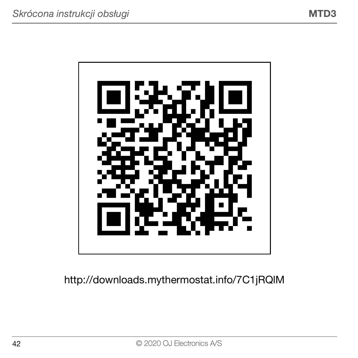

http://downloads.mythermostat.info/7C1jRQlM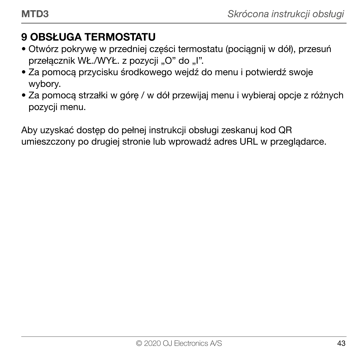# 9 OBSŁUGA TERMOSTATU

- Otwórz pokrywę w przedniej części termostatu (pociągnij w dół), przesuń przełącznik WŁ./WYŁ. z pozycii "O" do "I".
- Za pomocą przycisku środkowego wejdź do menu i potwierdź swoje wybory.
- Za pomocą strzałki w górę / w dół przewijaj menu i wybieraj opcje z różnych pozycji menu.

Aby uzyskać dostęp do pełnej instrukcji obsługi zeskanuj kod QR umieszczony po drugiej stronie lub wprowadź adres URL w przeglądarce.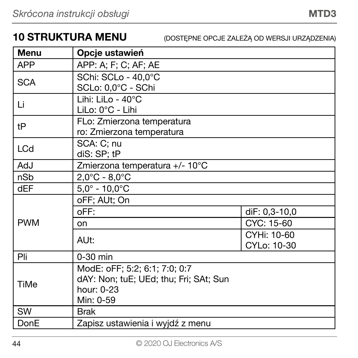10 STRUKTURA MENU (DOSTĘPNE OPCJE ZALEŻĄ OD WERSJI URZĄDZENIA)

| Menu                              | Opcje ustawień                                          |               |  |
|-----------------------------------|---------------------------------------------------------|---------------|--|
| APP                               | APP: A; F; C; AF; AE                                    |               |  |
| SChi: SCLo - 40.0°C<br><b>SCA</b> |                                                         |               |  |
|                                   | SCLo: 0,0°C - SChi                                      |               |  |
| Li                                | Lihi: LiLo - $40^{\circ}$ C                             |               |  |
|                                   | LiLo: 0°C - Lihi                                        |               |  |
| tP                                | FLo: Zmierzona temperatura<br>ro: Zmierzona temperatura |               |  |
| LCd                               | SCA: C: nu                                              |               |  |
|                                   | diS: SP: tP                                             |               |  |
| LbA                               | Zmierzona temperatura +/- 10°C                          |               |  |
| nSb                               | $2,0^{\circ}$ C - $8,0^{\circ}$ C                       |               |  |
| dEF                               | $5.0^\circ - 10.0^\circ C$                              |               |  |
|                                   | oFF; AUt; On                                            |               |  |
|                                   | oFF:                                                    | diF: 0,3-10,0 |  |
| <b>PWM</b>                        | on                                                      | CYC: 15-60    |  |
|                                   | AUt:                                                    | CYHi: 10-60   |  |
|                                   |                                                         | CYLo: 10-30   |  |
| Pli                               | 0-30 min                                                |               |  |
|                                   | ModE: oFF; 5:2; 6:1; 7:0; 0:7                           |               |  |
| TiMe                              | dAY: Non; tuE; UEd; thu; Fri; SAt; Sun                  |               |  |
|                                   | hour: 0-23                                              |               |  |
|                                   | Min: 0-59                                               |               |  |
| SW                                | <b>Brak</b>                                             |               |  |
| DonE                              | Zapisz ustawienia i wyjdź z menu                        |               |  |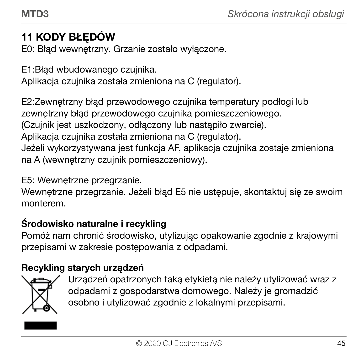# 11 KODY BŁĘDÓW

E0: Błąd wewnętrzny. Grzanie zostało wyłączone.

E1:Błąd wbudowanego czujnika. Aplikacja czujnika została zmieniona na C (regulator).

E2:Zewnętrzny błąd przewodowego czujnika temperatury podłogi lub zewnętrzny błąd przewodowego czujnika pomieszczeniowego. (Czujnik jest uszkodzony, odłączony lub nastąpiło zwarcie). Aplikacja czujnika została zmieniona na C (regulator). Jeżeli wykorzystywana jest funkcja AF, aplikacja czujnika zostaje zmieniona na A (wewnętrzny czujnik pomieszczeniowy).

E5: Wewnętrzne przegrzanie.

Wewnętrzne przegrzanie. Jeżeli błąd E5 nie ustępuje, skontaktuj się ze swoim monterem.

#### Środowisko naturalne i recykling

Pomóż nam chronić środowisko, utylizując opakowanie zgodnie z krajowymi przepisami w zakresie postępowania z odpadami.

#### Recykling starych urządzeń



Urządzeń opatrzonych taką etykietą nie należy utylizować wraz z odpadami z gospodarstwa domowego. Należy je gromadzić osobno i utylizować zgodnie z lokalnymi przepisami.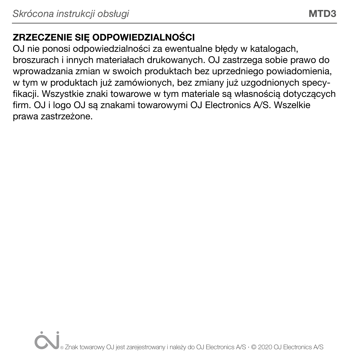#### ZRZECZENIE SIĘ ODPOWIEDZIALNOŚCI

OJ nie ponosi odpowiedzialności za ewentualne błędy w katalogach, broszurach i innych materiałach drukowanych. OJ zastrzega sobie prawo do wprowadzania zmian w swoich produktach bez uprzedniego powiadomienia, w tym w produktach już zamówionych, bez zmiany już uzgodnionych specyfikacji. Wszystkie znaki towarowe w tym materiale są własnością dotyczących firm. OJ i logo OJ są znakami towarowymi OJ Electronics A/S. Wszelkie prawa zastrzeżone.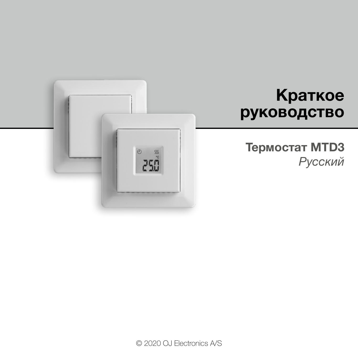

# Краткое руководство

# Термостат MTD3 Русский

© 2020 OJ Electronics A/S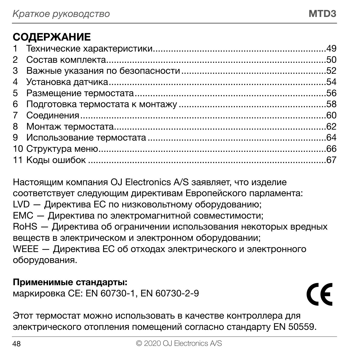# СОДЕРЖАНИЕ

Настоящим компания OJ Electronics A/S заявляет, что изделие соответствует следующим директивам Европейского парламента: LVD — Директива ЕС по низковольтному оборудованию; EMC — Директива по электромагнитной совместимости; RoHS — Директива об ограничении использования некоторых вредных веществ в электрическом и электронном оборудовании; WEEE — Директива ЕС об отходах электрического и электронного оборудования.

#### Применимые стандарты:

маркировка CE: EN 60730-1, EN 60730-2-9

Этот термостат можно использовать в качестве контроллера для электрического отопления помещений согласно стандарту EN 50559.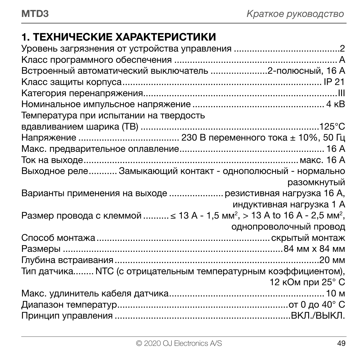#### 1. ТЕХНИЧЕСКИЕ ХАРАКТЕРИСТИКИ

| Встроенный автоматический выключатель 2-полюсный, 16 А                                          |                          |
|-------------------------------------------------------------------------------------------------|--------------------------|
|                                                                                                 |                          |
|                                                                                                 |                          |
|                                                                                                 |                          |
| Температура при испытании на твердость                                                          |                          |
|                                                                                                 |                          |
|                                                                                                 |                          |
|                                                                                                 |                          |
|                                                                                                 |                          |
| Выходное реле Замыкающий контакт - однополюсный - нормально                                     |                          |
|                                                                                                 | разомкнутый              |
| Варианты применения на выходе  резистивная нагрузка 16 А,                                       |                          |
|                                                                                                 | индуктивная нагрузка 1 А |
| Размер провода с клеммой  ≤ 13 А - 1,5 мм <sup>2</sup> , > 13 А to 16 А - 2,5 мм <sup>2</sup> , |                          |
|                                                                                                 | однопроволочный провод   |
|                                                                                                 |                          |
|                                                                                                 |                          |
|                                                                                                 |                          |
| Тип датчика NTC (с отрицательным температурным коэффициентом),                                  |                          |
|                                                                                                 | 12 кОм при 25° С         |
|                                                                                                 |                          |
|                                                                                                 |                          |
|                                                                                                 |                          |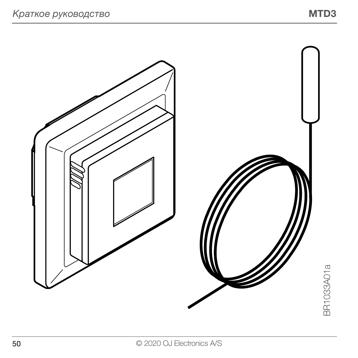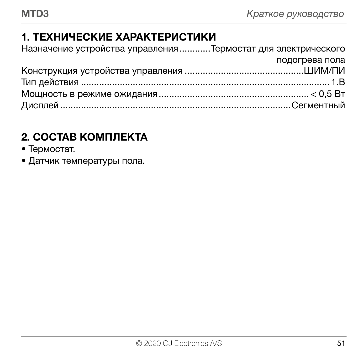# 1. ТЕХНИЧЕСКИЕ ХАРАКТЕРИСТИКИ

| Назначение устройства управленияТермостат для электрического |                |
|--------------------------------------------------------------|----------------|
|                                                              | подогрева пола |
|                                                              |                |
|                                                              |                |
|                                                              |                |
|                                                              |                |

#### 2. СОСТАВ КОМПЛЕКТА

- Термостат.
- Датчик температуры пола.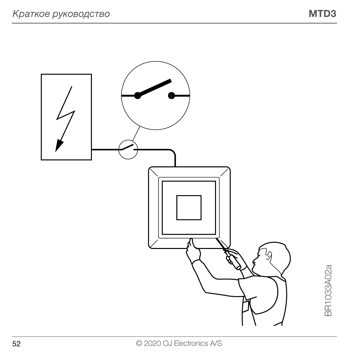

BR1033A02a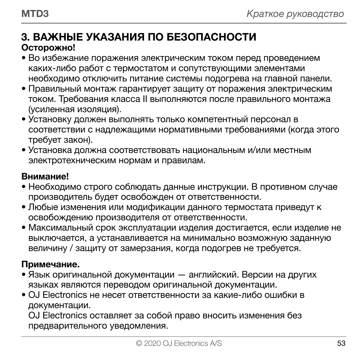#### 3. ВАЖНЫЕ УКАЗАНИЯ ПО БЕЗОПАСНОСТИ Осторожно!

- Во избежание поражения электрическим током перед проведением каких-либо работ с термостатом и сопутствующими элементами необходимо отключить питание системы подогрева на главной панели.
- Правильный монтаж гарантирует защиту от поражения электрическим током. Требования класса II выполняются после правильного монтажа (усиленная изоляция).
- Установку должен выполнять только компетентный персонал в соответствии с надлежащими нормативными требованиями (когда этого требует закон).
- Установка должна соответствовать национальным и/или местным электротехническим нормам и правилам.

#### Внимание!

- Необходимо строго соблюдать данные инструкции. В противном случае производитель будет освобожден от ответственности.
- Любые изменения или модификации данного термостата приведут к освобождению производителя от ответственности.
- Максимальный срок эксплуатации изделия достигается, если изделие не выключается, а устанавливается на минимально возможную заданную величину / защиту от замерзания, когда подогрев не требуется.

#### Примечание.

- Язык оригинальной документации английский. Версии на других языках являются переводом оригинальной документации.
- OJ Electronics не несет ответственности за какие-либо ошибки в документации.

OJ Electronics оставляет за собой право вносить изменения без предварительного уведомления.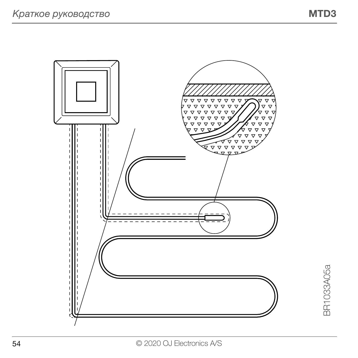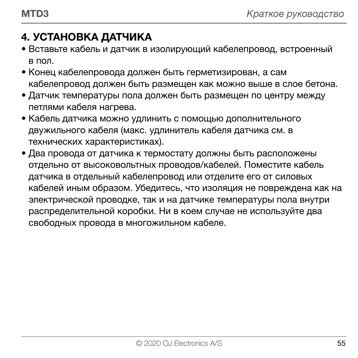# 4. УСТАНОВКА ДАТЧИКА

- Вставьте кабель и латчик в изолирующий кабелепровод, встроенный в пол.
- Конец кабелепровода должен быть герметизирован, а сам кабелепровод должен быть размещен как можно выше в слое бетона.
- Датчик температуры пола должен быть размещен по центру между петлями кабеля нагрева.
- Кабель датчика можно удлинить с помощью дополнительного двужильного кабеля (макс. удлинитель кабеля датчика см. в технических характеристиках).
- Два провода от датчика к термостату должны быть расположены отдельно от высоковольтных проводов/кабелей. Поместите кабель датчика в отдельный кабелепровод или отделите его от силовых кабелей иным образом. Убедитесь, что изоляция не повреждена как на электрической проводке, так и на датчике температуры пола внутри распределительной коробки. Ни в коем случае не используйте два свободных провода в многожильном кабеле.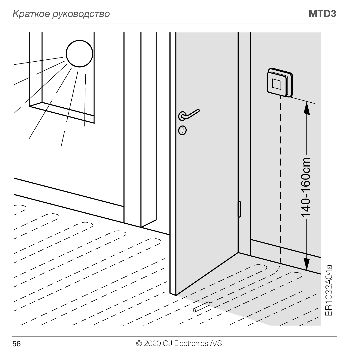#### Краткое руководство МТОЗ

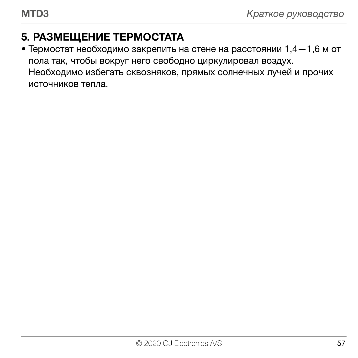#### 5. РАЗМЕЩЕНИЕ ТЕРМОСТАТА

• Термостат необходимо закрепить на стене на расстоянии 1,4—1,6 м от пола так, чтобы вокруг него свободно циркулировал воздух. Необходимо избегать сквозняков, прямых солнечных лучей и прочих источников тепла.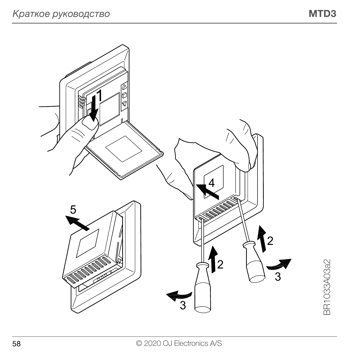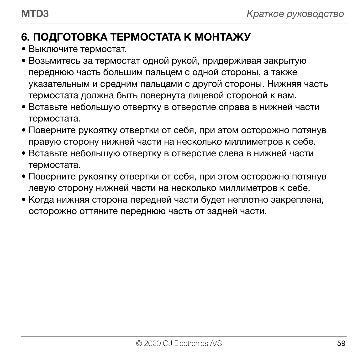### 6. ПОДГОТОВКА ТЕРМОСТАТА К МОНТАЖУ

- Выключите термостат.
- Возьмитесь за термостат одной рукой, придерживая закрытую переднюю часть большим пальцем с одной стороны, а также указательным и средним пальцами с другой стороны. Нижняя часть термостата должна быть повернута лицевой стороной к вам.
- Вставьте небольшую отвертку в отверстие справа в нижней части термостата.
- Поверните рукоятку отвертки от себя, при этом осторожно потянув правую сторону нижней части на несколько миллиметров к себе.
- Вставьте небольшую отвертку в отверстие слева в нижней части термостата.
- Поверните рукоятку отвертки от себя, при этом осторожно потянув левую сторону нижней части на несколько миллиметров к себе.
- Когда нижняя сторона передней части будет неплотно закреплена, осторожно оттяните переднюю часть от задней части.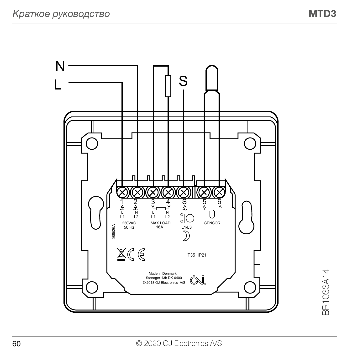

BR1033A14<br>BR1033A14 BR1033A14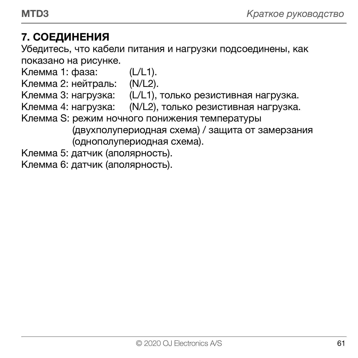#### 7. СОЕДИНЕНИЯ

Убедитесь, что кабели питания и нагрузки подсоединены, как

показано на рисунке.

Клемма 1: фаза: (L/L1).

Клемма 2: нейтраль: (N/L2).

Клемма 3: нагрузка: (L/L1), только резистивная нагрузка.

Клемма 4: нагрузка: (N/L2), только резистивная нагрузка.

Клемма S: режим ночного понижения температуры

(двухполупериодная схема) / защита от замерзания (однополупериодная схема).

Клемма 5: датчик (аполярность).

Клемма 6: датчик (аполярность).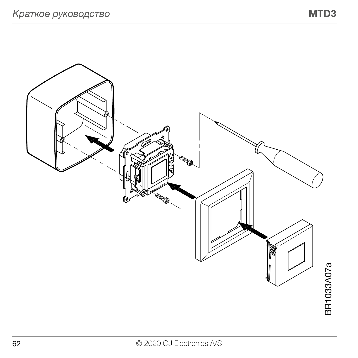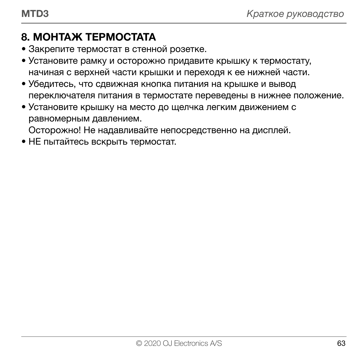# 8. МОНТАЖ ТЕРМОСТАТА

- Закрепите термостат в стенной розетке.
- Установите рамку и осторожно придавите крышку к термостату, начиная с верхней части крышки и переходя к ее нижней части.
- Убедитесь, что сдвижная кнопка питания на крышке и вывод переключателя питания в термостате переведены в нижнее положение.
- Установите крышку на место до щелчка легким движением с равномерным давлением.

Осторожно! Не надавливайте непосредственно на дисплей.

• НЕ пытайтесь вскрыть термостат.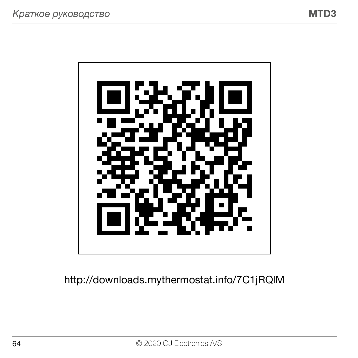

http://downloads.mythermostat.info/7C1jRQlM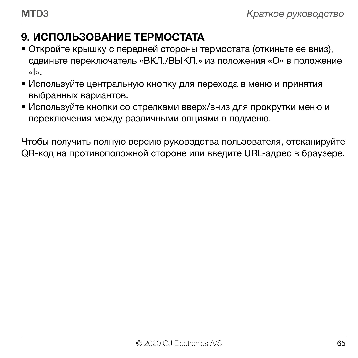# 9. ИСПОЛЬЗОВАНИЕ ТЕРМОСТАТА

- Откройте крышку с передней стороны термостата (откиньте ее вниз), сдвиньте переключатель «ВКЛ./ВЫКЛ.» из положения «O» в положение «I».
- Используйте центральную кнопку для перехода в меню и принятия выбранных вариантов.
- Используйте кнопки со стрелками вверх/вниз для прокрутки меню и переключения между различными опциями в подменю.

Чтобы получить полную версию руководства пользователя, отсканируйте QR-код на противоположной стороне или введите URL-адрес в браузере.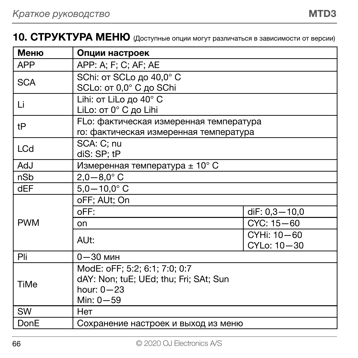| Меню         | Опции настроек                                                                                           |                            |
|--------------|----------------------------------------------------------------------------------------------------------|----------------------------|
| <b>APP</b>   | APP: A; F; C; AF; AE                                                                                     |                            |
| <b>SCA</b>   | SChi: от SCLo до 40,0° С<br>SCLo: от 0,0° С до SChi                                                      |                            |
| Li           | Lihi: от LiLo до 40° С<br>LiLo: от 0° С до Lihi                                                          |                            |
| tP           | FLo: фактическая измеренная температура<br>го: фактическая измеренная температура                        |                            |
| LCd          | SCA: C: nu<br>diS: SP: tP                                                                                |                            |
| AdJ          | Измеренная температура ± 10° С                                                                           |                            |
| nSb          | $2,0-8,0^{\circ}$ C                                                                                      |                            |
| dEF          | $5,0-10,0^{\circ}$ C                                                                                     |                            |
| oFF; AUt; On |                                                                                                          |                            |
|              | oFF:                                                                                                     | diF: 0,3-10,0              |
| <b>PWM</b>   | on                                                                                                       | CYC: 15-60                 |
|              | AU <sub>t:</sub>                                                                                         | CYHi: 10-60<br>CYLo: 10-30 |
| Pli          | $0-30$ мин                                                                                               |                            |
| TiMe         | ModE: oFF; 5:2; 6:1; 7:0; 0:7<br>dAY: Non; tuE; UEd; thu; Fri; SAt; Sun<br>hour: $0-23$<br>Min: $0 - 59$ |                            |
| SW           | Het                                                                                                      |                            |
| DonE         | Сохранение настроек и выход из меню                                                                      |                            |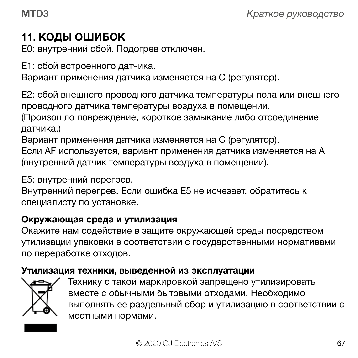#### 11. КОДЫ ОШИБОК

E0: внутренний сбой. Подогрев отключен.

E1: сбой встроенного датчика.

Вариант применения датчика изменяется на C (регулятор).

E2: сбой внешнего проводного датчика температуры пола или внешнего проводного датчика температуры воздуха в помещении.

(Произошло повреждение, короткое замыкание либо отсоединение датчика.)

Вариант применения датчика изменяется на C (регулятор). Если AF используется, вариант применения датчика изменяется на A (внутренний датчик температуры воздуха в помещении).

E5: внутренний перегрев.

Внутренний перегрев. Если ошибка E5 не исчезает, обратитесь к специалисту по установке.

#### Окружающая среда и утилизация

Окажите нам содействие в защите окружающей среды посредством утилизации упаковки в соответствии с государственными нормативами по переработке отходов.

#### Утилизация техники, выведенной из эксплуатации



Технику с такой маркировкой запрещено утилизировать вместе с обычными бытовыми отходами. Необходимо выполнять ее раздельный сбор и утилизацию в соответствии с местными нормами.